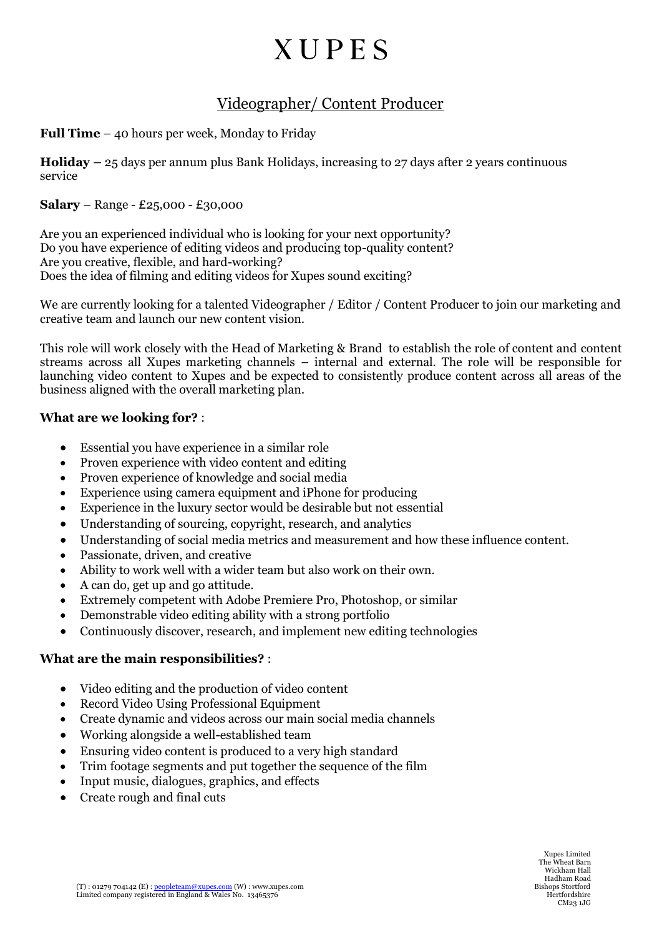## **XUPES**

### Videographer/ Content Producer

**Full Time** – 40 hours per week, Monday to Friday

**Holiday –** 25 days per annum plus Bank Holidays, increasing to 27 days after 2 years continuous service

#### **Salary** – Range - £25,000 - £30,000

Are you an experienced individual who is looking for your next opportunity? Do you have experience of editing videos and producing top-quality content? Are you creative, flexible, and hard-working? Does the idea of filming and editing videos for Xupes sound exciting?

We are currently looking for a talented Videographer / Editor / Content Producer to join our marketing and creative team and launch our new content vision.

This role will work closely with the Head of Marketing & Brand to establish the role of content and content streams across all Xupes marketing channels – internal and external. The role will be responsible for launching video content to Xupes and be expected to consistently produce content across all areas of the business aligned with the overall marketing plan.

#### **What are we looking for?** :

- Essential you have experience in a similar role
- Proven experience with video content and editing
- Proven experience of knowledge and social media
- Experience using camera equipment and iPhone for producing
- Experience in the luxury sector would be desirable but not essential
- Understanding of sourcing, copyright, research, and analytics
- Understanding of social media metrics and measurement and how these influence content.
- Passionate, driven, and creative
- Ability to work well with a wider team but also work on their own.
- A can do, get up and go attitude.
- Extremely competent with Adobe Premiere Pro, Photoshop, or similar
- Demonstrable video editing ability with a strong portfolio
- Continuously discover, research, and implement new editing technologies

#### **What are the main responsibilities?** :

- Video editing and the production of video content
- Record Video Using Professional Equipment
- Create dynamic and videos across our main social media channels
- Working alongside a well-established team
- Ensuring video content is produced to a very high standard
- Trim footage segments and put together the sequence of the film
- Input music, dialogues, graphics, and effects
- Create rough and final cuts